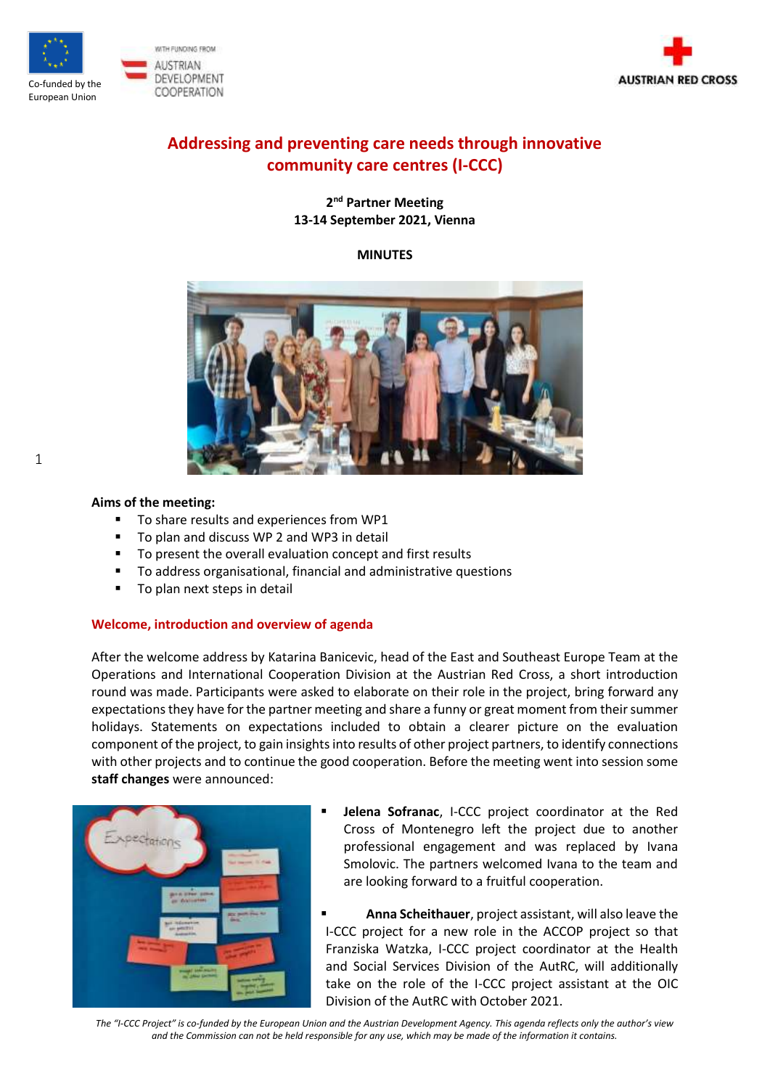



# **Addressing and preventing care needs through innovative community care centres (I-CCC)**

## **2 nd Partner Meeting 13-14 September 2021, Vienna**

## **MINUTES**



## **Aims of the meeting:**

1

- To share results and experiences from WP1
- To plan and discuss WP 2 and WP3 in detail
- To present the overall evaluation concept and first results
- To address organisational, financial and administrative questions
- To plan next steps in detail

## **Welcome, introduction and overview of agenda**

After the welcome address by Katarina Banicevic, head of the East and Southeast Europe Team at the Operations and International Cooperation Division at the Austrian Red Cross, a short introduction round was made. Participants were asked to elaborate on their role in the project, bring forward any expectations they have for the partner meeting and share a funny or great moment from their summer holidays. Statements on expectations included to obtain a clearer picture on the evaluation component of the project, to gain insights into results of other project partners, to identify connections with other projects and to continue the good cooperation. Before the meeting went into session some **staff changes** were announced:



- Jelena Sofranac, I-CCC project coordinator at the Red Cross of Montenegro left the project due to another professional engagement and was replaced by Ivana Smolovic. The partners welcomed Ivana to the team and are looking forward to a fruitful cooperation.
- **Anna Scheithauer**, project assistant, will also leave the I-CCC project for a new role in the ACCOP project so that Franziska Watzka, I-CCC project coordinator at the Health and Social Services Division of the AutRC, will additionally take on the role of the I-CCC project assistant at the OIC Division of the AutRC with October 2021.

*The "I-CCC Project" is co-funded by the European Union and the Austrian Development Agency. This agenda reflects only the author's view and the Commission can not be held responsible for any use, which may be made of the information it contains.*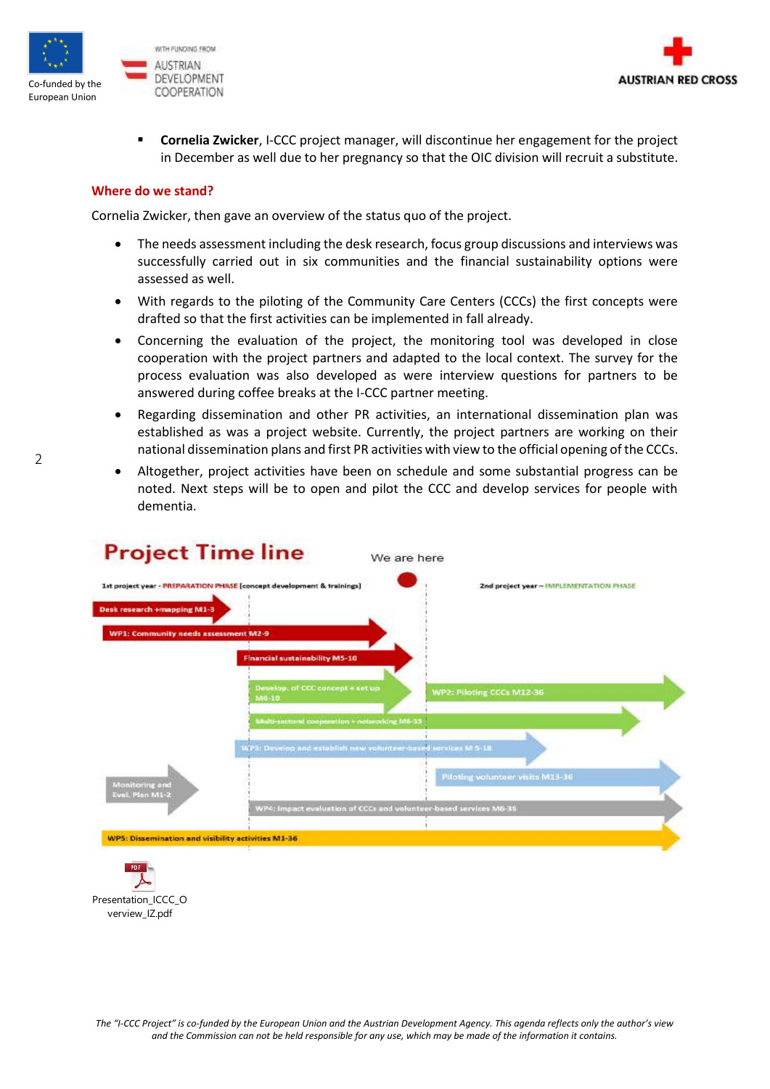



**Cornelia Zwicker, I-CCC project manager, will discontinue her engagement for the project** in December as well due to her pregnancy so that the OIC division will recruit a substitute.

#### **Where do we stand?**

Cornelia Zwicker, then gave an overview of the status quo of the project.

- The needs assessment including the desk research, focus group discussions and interviews was successfully carried out in six communities and the financial sustainability options were assessed as well.
- With regards to the piloting of the Community Care Centers (CCCs) the first concepts were drafted so that the first activities can be implemented in fall already.
- Concerning the evaluation of the project, the monitoring tool was developed in close cooperation with the project partners and adapted to the local context. The survey for the process evaluation was also developed as were interview questions for partners to be answered during coffee breaks at the I-CCC partner meeting.
- Regarding dissemination and other PR activities, an international dissemination plan was established as was a project website. Currently, the project partners are working on their national dissemination plans and first PR activities with view to the official opening of the CCCs.
- Altogether, project activities have been on schedule and some substantial progress can be noted. Next steps will be to open and pilot the CCC and develop services for people with dementia.





2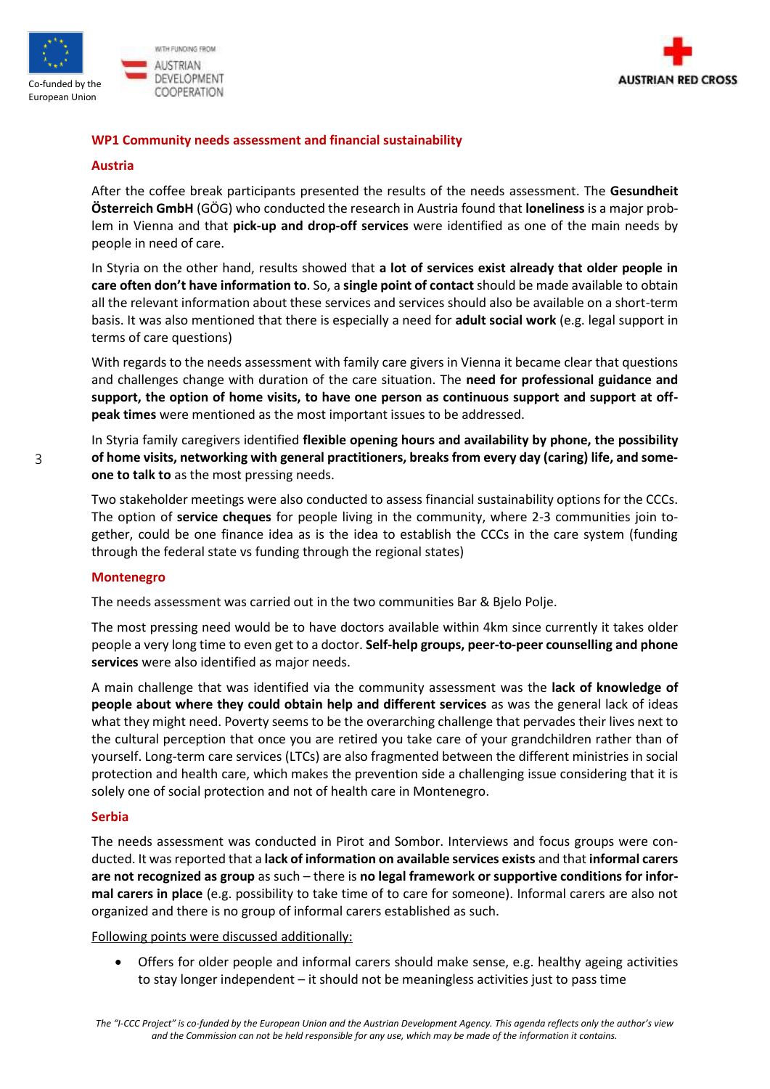



### **WP1 Community needs assessment and financial sustainability**

#### **Austria**

After the coffee break participants presented the results of the needs assessment. The **Gesundheit Österreich GmbH** (GÖG) who conducted the research in Austria found that **loneliness** is a major problem in Vienna and that **pick-up and drop-off services** were identified as one of the main needs by people in need of care.

In Styria on the other hand, results showed that **a lot of services exist already that older people in care often don't have information to**. So, a **single point of contact** should be made available to obtain all the relevant information about these services and services should also be available on a short-term basis. It was also mentioned that there is especially a need for **adult social work** (e.g. legal support in terms of care questions)

With regards to the needs assessment with family care givers in Vienna it became clear that questions and challenges change with duration of the care situation. The **need for professional guidance and support, the option of home visits, to have one person as continuous support and support at offpeak times** were mentioned as the most important issues to be addressed.

In Styria family caregivers identified **flexible opening hours and availability by phone, the possibility of home visits, networking with general practitioners, breaks from every day (caring) life, and someone to talk to** as the most pressing needs.

Two stakeholder meetings were also conducted to assess financial sustainability options for the CCCs. The option of **service cheques** for people living in the community, where 2-3 communities join together, could be one finance idea as is the idea to establish the CCCs in the care system (funding through the federal state vs funding through the regional states)

#### **Montenegro**

The needs assessment was carried out in the two communities Bar & Bjelo Polje.

The most pressing need would be to have doctors available within 4km since currently it takes older people a very long time to even get to a doctor. **Self-help groups, peer-to-peer counselling and phone services** were also identified as major needs.

A main challenge that was identified via the community assessment was the **lack of knowledge of people about where they could obtain help and different services** as was the general lack of ideas what they might need. Poverty seems to be the overarching challenge that pervades their lives next to the cultural perception that once you are retired you take care of your grandchildren rather than of yourself. Long-term care services (LTCs) are also fragmented between the different ministries in social protection and health care, which makes the prevention side a challenging issue considering that it is solely one of social protection and not of health care in Montenegro.

#### **Serbia**

The needs assessment was conducted in Pirot and Sombor. Interviews and focus groups were conducted. It was reported that a **lack of information on available services exists** and that **informal carers are not recognized as group** as such – there is **no legal framework or supportive conditions for informal carers in place** (e.g. possibility to take time of to care for someone). Informal carers are also not organized and there is no group of informal carers established as such.

Following points were discussed additionally:

• Offers for older people and informal carers should make sense, e.g. healthy ageing activities to stay longer independent – it should not be meaningless activities just to pass time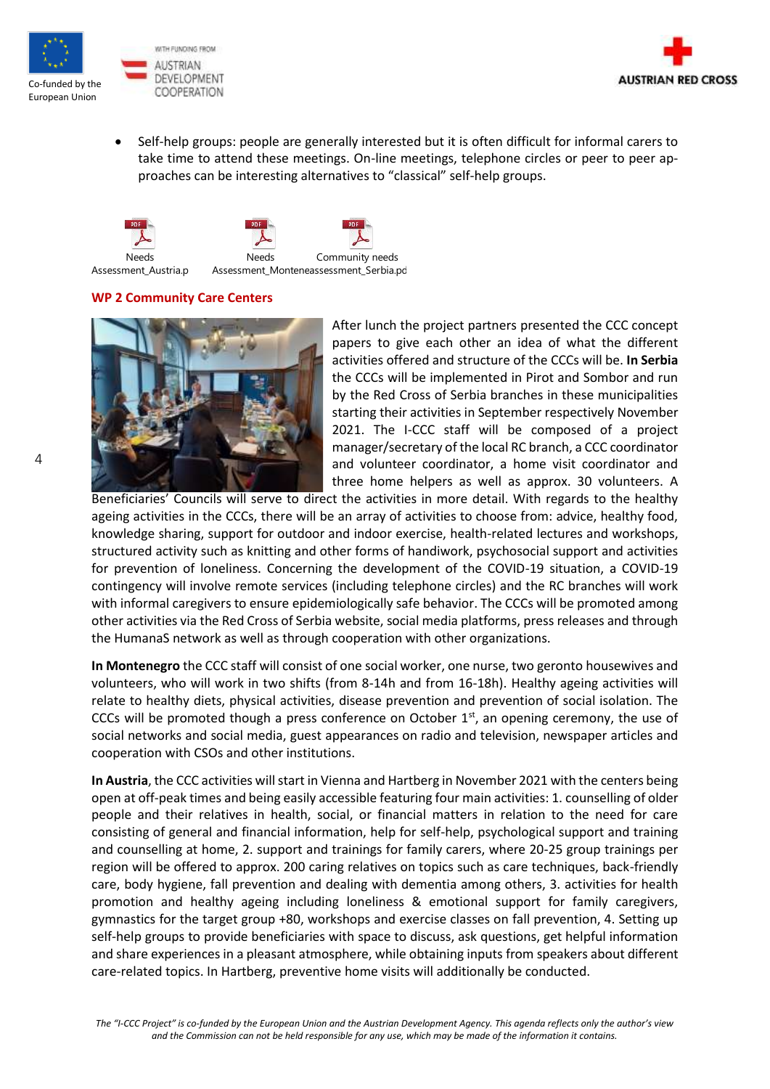



• Self-help groups: people are generally interested but it is often difficult for informal carers to take time to attend these meetings. On-line meetings, telephone circles or peer to peer approaches can be interesting alternatives to "classical" self-help groups.

Needs Assessment\_Austria.pdf Needs Assessment\_Monteneassessment\_Serbia.pd Community needs

#### **WP 2 Community Care Centers**



After lunch the project partners presented the CCC concept papers to give each other an idea of what the different activities offered and structure of the CCCs will be. **In Serbia** the CCCs will be implemented in Pirot and Sombor and run by the Red Cross of Serbia branches in these municipalities starting their activities in September respectively November 2021. The I-CCC staff will be composed of a project manager/secretary of the local RC branch, a CCC coordinator and volunteer coordinator, a home visit coordinator and three home helpers as well as approx. 30 volunteers. A

Beneficiaries' Councils will serve to direct the activities in more detail. With regards to the healthy ageing activities in the CCCs, there will be an array of activities to choose from: advice, healthy food, knowledge sharing, support for outdoor and indoor exercise, health-related lectures and workshops, structured activity such as knitting and other forms of handiwork, psychosocial support and activities for prevention of loneliness. Concerning the development of the COVID-19 situation, a COVID-19 contingency will involve remote services (including telephone circles) and the RC branches will work with informal caregivers to ensure epidemiologically safe behavior. The CCCs will be promoted among other activities via the Red Cross of Serbia website, social media platforms, press releases and through the HumanaS network as well as through cooperation with other organizations.

**In Montenegro** the CCC staff will consist of one social worker, one nurse, two geronto housewives and volunteers, who will work in two shifts (from 8-14h and from 16-18h). Healthy ageing activities will relate to healthy diets, physical activities, disease prevention and prevention of social isolation. The CCCs will be promoted though a press conference on October  $1<sup>st</sup>$ , an opening ceremony, the use of social networks and social media, guest appearances on radio and television, newspaper articles and cooperation with CSOs and other institutions.

**In Austria**, the CCC activities will start in Vienna and Hartberg in November 2021 with the centers being open at off-peak times and being easily accessible featuring four main activities: 1. counselling of older people and their relatives in health, social, or financial matters in relation to the need for care consisting of general and financial information, help for self-help, psychological support and training and counselling at home, 2. support and trainings for family carers, where 20-25 group trainings per region will be offered to approx. 200 caring relatives on topics such as care techniques, back-friendly care, body hygiene, fall prevention and dealing with dementia among others, 3. activities for health promotion and healthy ageing including loneliness & emotional support for family caregivers, gymnastics for the target group +80, workshops and exercise classes on fall prevention, 4. Setting up self-help groups to provide beneficiaries with space to discuss, ask questions, get helpful information and share experiences in a pleasant atmosphere, while obtaining inputs from speakers about different care-related topics. In Hartberg, preventive home visits will additionally be conducted.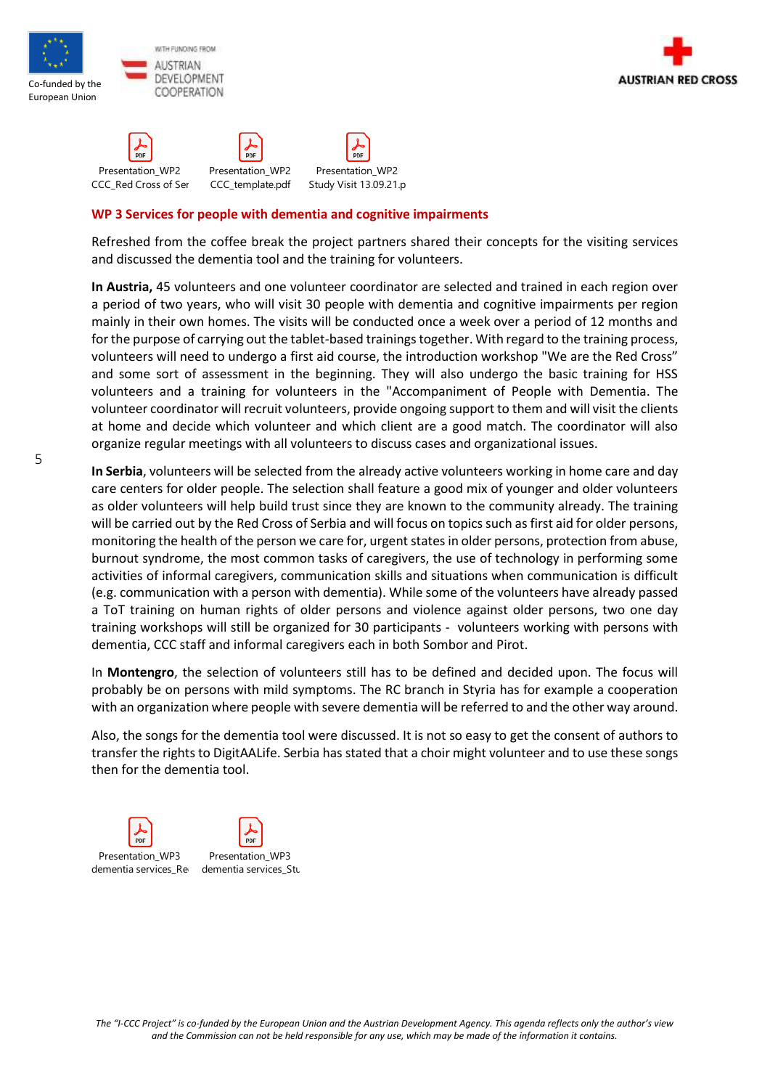





#### **WP 3 Services for people with dementia and cognitive impairments**

Refreshed from the coffee break the project partners shared their concepts for the visiting services and discussed the dementia tool and the training for volunteers.

**In Austria,** 45 volunteers and one volunteer coordinator are selected and trained in each region over a period of two years, who will visit 30 people with dementia and cognitive impairments per region mainly in their own homes. The visits will be conducted once a week over a period of 12 months and for the purpose of carrying out the tablet-based trainings together. With regard to the training process, volunteers will need to undergo a first aid course, the introduction workshop "We are the Red Cross" and some sort of assessment in the beginning. They will also undergo the basic training for HSS volunteers and a training for volunteers in the "Accompaniment of People with Dementia. The volunteer coordinator will recruit volunteers, provide ongoing support to them and will visit the clients at home and decide which volunteer and which client are a good match. The coordinator will also organize regular meetings with all volunteers to discuss cases and organizational issues.

**In Serbia**, volunteers will be selected from the already active volunteers working in home care and day care centers for older people. The selection shall feature a good mix of younger and older volunteers as older volunteers will help build trust since they are known to the community already. The training will be carried out by the Red Cross of Serbia and will focus on topics such as first aid for older persons, monitoring the health of the person we care for, urgent states in older persons, protection from abuse, burnout syndrome, the most common tasks of caregivers, the use of technology in performing some activities of informal caregivers, communication skills and situations when communication is difficult (e.g. communication with a person with dementia). While some of the volunteers have already passed a ToT training on human rights of older persons and violence against older persons, two one day training workshops will still be organized for 30 participants - volunteers working with persons with dementia, CCC staff and informal caregivers each in both Sombor and Pirot.

In **Montengro**, the selection of volunteers still has to be defined and decided upon. The focus will probably be on persons with mild symptoms. The RC branch in Styria has for example a cooperation with an organization where people with severe dementia will be referred to and the other way around.

Also, the songs for the dementia tool were discussed. It is not so easy to get the consent of authors to transfer the rights to DigitAALife. Serbia has stated that a choir might volunteer and to use these songs then for the dementia tool.

 $\frac{6}{2}$ Presentation\_WP3 Presentation\_WP3 dementia services\_Re<sub>l</sub> dementia services dementia services\_Study visit 13.09.21.09.2012.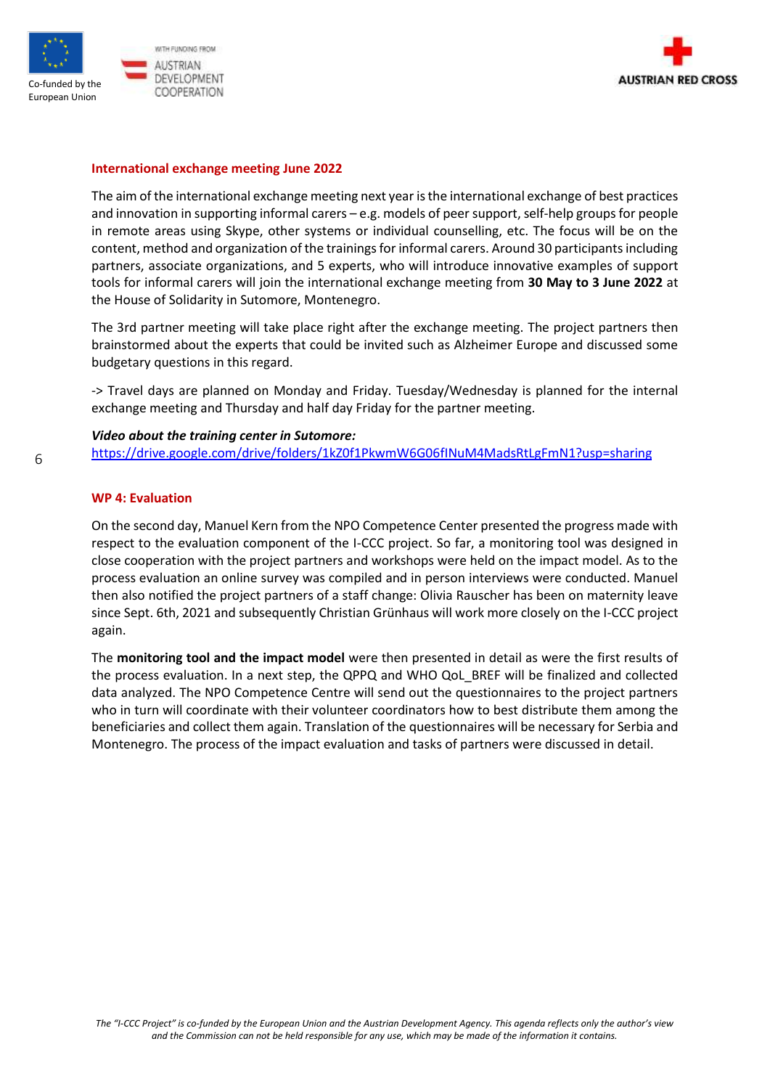



#### **International exchange meeting June 2022**

The aim of the international exchange meeting next year is the international exchange of best practices and innovation in supporting informal carers – e.g. models of peer support, self-help groups for people in remote areas using Skype, other systems or individual counselling, etc. The focus will be on the content, method and organization of the trainings for informal carers. Around 30 participants including partners, associate organizations, and 5 experts, who will introduce innovative examples of support tools for informal carers will join the international exchange meeting from **30 May to 3 June 2022** at the House of Solidarity in Sutomore, Montenegro.

The 3rd partner meeting will take place right after the exchange meeting. The project partners then brainstormed about the experts that could be invited such as Alzheimer Europe and discussed some budgetary questions in this regard.

-> Travel days are planned on Monday and Friday. Tuesday/Wednesday is planned for the internal exchange meeting and Thursday and half day Friday for the partner meeting.

#### *Video about the training center in Sutomore:*

<https://drive.google.com/drive/folders/1kZ0f1PkwmW6G06fINuM4MadsRtLgFmN1?usp=sharing>

#### **WP 4: Evaluation**

On the second day, Manuel Kern from the NPO Competence Center presented the progress made with respect to the evaluation component of the I-CCC project. So far, a monitoring tool was designed in close cooperation with the project partners and workshops were held on the impact model. As to the process evaluation an online survey was compiled and in person interviews were conducted. Manuel then also notified the project partners of a staff change: Olivia Rauscher has been on maternity leave since Sept. 6th, 2021 and subsequently Christian Grünhaus will work more closely on the I-CCC project again.

The **monitoring tool and the impact model** were then presented in detail as were the first results of the process evaluation. In a next step, the QPPQ and WHO QoL\_BREF will be finalized and collected data analyzed. The NPO Competence Centre will send out the questionnaires to the project partners who in turn will coordinate with their volunteer coordinators how to best distribute them among the beneficiaries and collect them again. Translation of the questionnaires will be necessary for Serbia and Montenegro. The process of the impact evaluation and tasks of partners were discussed in detail.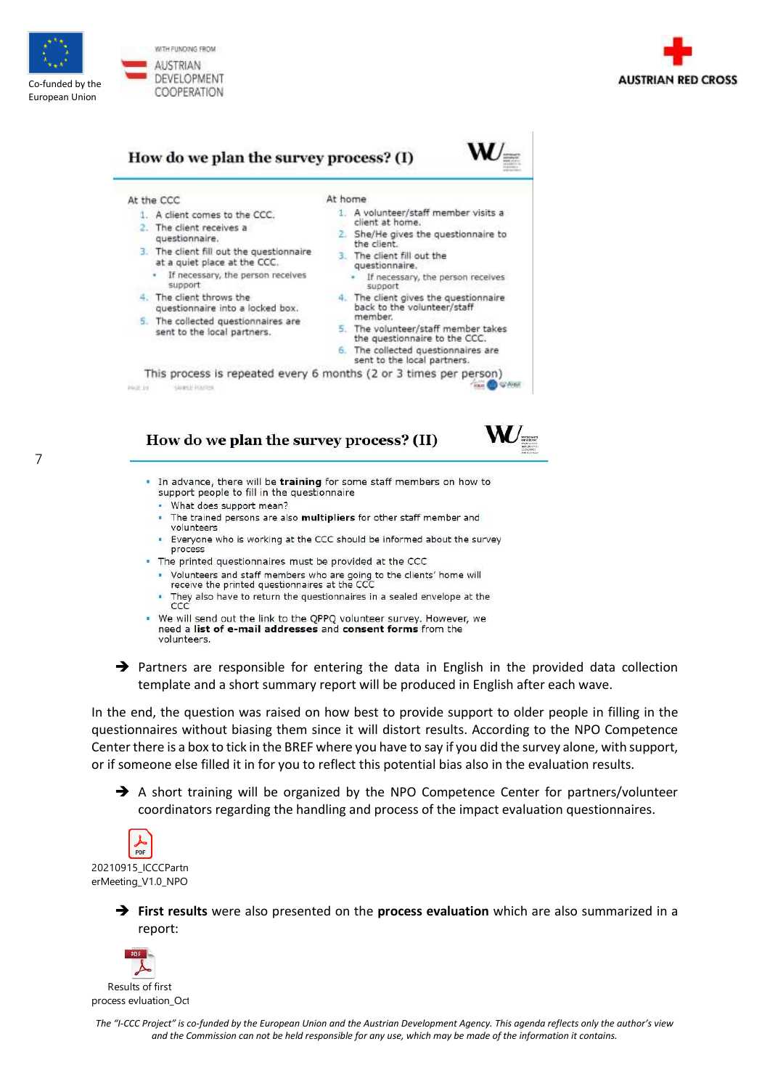

7



## How do we plan the survey process? (I)

At the CCC

1. A client comes to the CCC.

3. The client fill out the questionnaire

questionnaire into a locked box.

5. The collected questionnaires are

sent to the local partners.

If necessary, the person receives

at a quiet place at the CCC.

2. The client receives a

questionnaire.

support

4. The client throws the

- At home
	- 1. A volunteer/staff member visits a client at home.
	- 2. She/He gives the questionnaire to the client.
	- 3 The client fill out the questionnaire.
		- · If necessary, the person receives support
	- 4. The client gives the questionnaire back to the volunteer/staff member.
- 5. The volunteer/staff member takes the questionnaire to the CCC.
- 6. The collected questionnaires are sent to the local partners.

This process is repeated every 6 months (2 or 3 times per person) **Cast 6** PACE 19 SMALL FOUR

## How do we plan the survey process? (II)

- . In advance, there will be training for some staff members on how to support people to fill in the questionnaire
	- . What does support mean?
	- . The trained persons are also multipliers for other staff member and volunteers
	- Everyone who is working at the CCC should be informed about the survey process
- The printed questionnaires must be provided at the CCC
	- Volunteers and staff members who are going to the clients' home will receive the printed questionnaires at the CCC
	- They also have to return the questionnaires in a sealed envelope at the ccc
- . We will send out the link to the QPPQ volunteer survey. However, we need a list of e-mail addresses and consent forms from the volunteers.



In the end, the question was raised on how best to provide support to older people in filling in the questionnaires without biasing them since it will distort results. According to the NPO Competence Center there is a box to tick in the BREF where you have to say if you did the survey alone, with support, or if someone else filled it in for you to reflect this potential bias also in the evaluation results.

→ A short training will be organized by the NPO Competence Center for partners/volunteer coordinators regarding the handling and process of the impact evaluation questionnaires.



➔ **First results** were also presented on the **process evaluation** which are also summarized in a report:

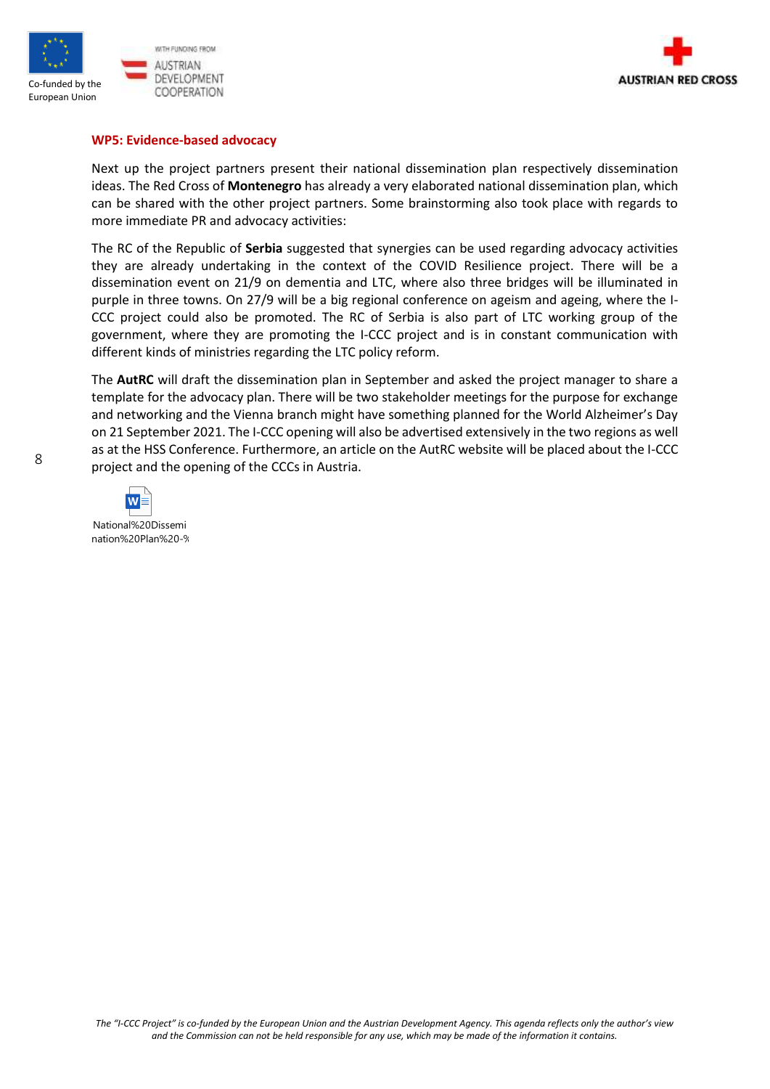



#### **WP5: Evidence-based advocacy**

Next up the project partners present their national dissemination plan respectively dissemination ideas. The Red Cross of **Montenegro** has already a very elaborated national dissemination plan, which can be shared with the other project partners. Some brainstorming also took place with regards to more immediate PR and advocacy activities:

The RC of the Republic of **Serbia** suggested that synergies can be used regarding advocacy activities they are already undertaking in the context of the COVID Resilience project. There will be a dissemination event on 21/9 on dementia and LTC, where also three bridges will be illuminated in purple in three towns. On 27/9 will be a big regional conference on ageism and ageing, where the I-CCC project could also be promoted. The RC of Serbia is also part of LTC working group of the government, where they are promoting the I-CCC project and is in constant communication with different kinds of ministries regarding the LTC policy reform.

The **AutRC** will draft the dissemination plan in September and asked the project manager to share a template for the advocacy plan. There will be two stakeholder meetings for the purpose for exchange and networking and the Vienna branch might have something planned for the World Alzheimer's Day on 21 September 2021. The I-CCC opening will also be advertised extensively in the two regions as well as at the HSS Conference. Furthermore, an article on the AutRC website will be placed about the I-CCC project and the opening of the CCCs in Austria.

National%20Dissemi nation%20Plan%20-%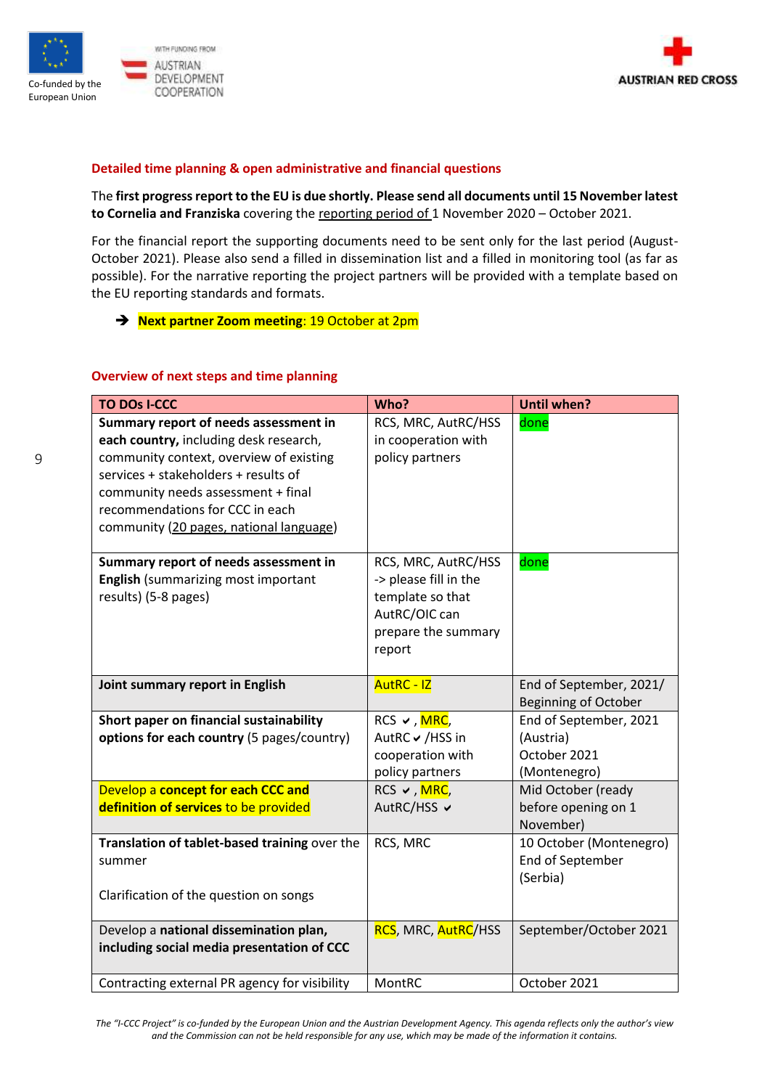



## **Detailed time planning & open administrative and financial questions**

The **first progress report to the EU is due shortly. Please send all documents until 15 November latest to Cornelia and Franziska** covering the reporting period of 1 November 2020 – October 2021.

For the financial report the supporting documents need to be sent only for the last period (August-October 2021). Please also send a filled in dissemination list and a filled in monitoring tool (as far as possible). For the narrative reporting the project partners will be provided with a template based on the EU reporting standards and formats.

## ➔ **Next partner Zoom meeting**: 19 October at 2pm

#### **Overview of next steps and time planning**

| <b>TO DOS I-CCC</b>                                                                                                                                                                                                                                                                    | Who?                                                                                                               | <b>Until when?</b>                                                  |
|----------------------------------------------------------------------------------------------------------------------------------------------------------------------------------------------------------------------------------------------------------------------------------------|--------------------------------------------------------------------------------------------------------------------|---------------------------------------------------------------------|
| Summary report of needs assessment in<br>each country, including desk research,<br>community context, overview of existing<br>services + stakeholders + results of<br>community needs assessment + final<br>recommendations for CCC in each<br>community (20 pages, national language) | RCS, MRC, AutRC/HSS<br>in cooperation with<br>policy partners                                                      | done                                                                |
| Summary report of needs assessment in<br>English (summarizing most important<br>results) (5-8 pages)                                                                                                                                                                                   | RCS, MRC, AutRC/HSS<br>-> please fill in the<br>template so that<br>AutRC/OIC can<br>prepare the summary<br>report | done                                                                |
| Joint summary report in English                                                                                                                                                                                                                                                        | <b>AutRC - IZ</b>                                                                                                  | End of September, 2021/<br><b>Beginning of October</b>              |
| Short paper on financial sustainability<br>options for each country (5 pages/country)                                                                                                                                                                                                  | $RCS \vee$ , MRC,<br>AutRC ✔ /HSS in<br>cooperation with<br>policy partners                                        | End of September, 2021<br>(Austria)<br>October 2021<br>(Montenegro) |
| Develop a concept for each CCC and<br>definition of services to be provided                                                                                                                                                                                                            | RCS ✔, <mark>MRC</mark> ,<br>AutRC/HSS ✔                                                                           | Mid October (ready<br>before opening on 1<br>November)              |
| Translation of tablet-based training over the<br>summer<br>Clarification of the question on songs                                                                                                                                                                                      | RCS, MRC                                                                                                           | 10 October (Montenegro)<br>End of September<br>(Serbia)             |
| Develop a national dissemination plan,<br>including social media presentation of CCC                                                                                                                                                                                                   | <b>RCS, MRC, AutRC/HSS</b>                                                                                         | September/October 2021                                              |
| Contracting external PR agency for visibility                                                                                                                                                                                                                                          | MontRC                                                                                                             | October 2021                                                        |

*The "I-CCC Project" is co-funded by the European Union and the Austrian Development Agency. This agenda reflects only the author's view and the Commission can not be held responsible for any use, which may be made of the information it contains.*